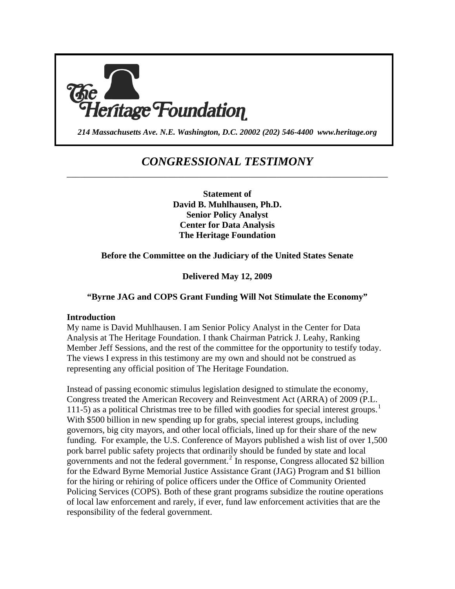

*214 Massachusetts Ave. N.E. Washington, D.C. 20002 (202) 546-4400 www.heritage.org*

## *CONGRESSIONAL TESTIMONY* \_\_\_\_\_\_\_\_\_\_\_\_\_\_\_\_\_\_\_\_\_\_\_\_\_\_\_\_\_\_\_\_\_\_\_\_\_\_\_\_\_\_\_\_\_\_\_\_\_\_\_\_\_\_\_\_\_\_\_\_\_\_\_\_\_\_\_\_\_\_\_\_

**Statement of David B. Muhlhausen, Ph.D. Senior Policy Analyst Center for Data Analysis The Heritage Foundation** 

#### **Before the Committee on the Judiciary of the United States Senate**

**Delivered May 12, 2009** 

#### **"Byrne JAG and COPS Grant Funding Will Not Stimulate the Economy"**

#### **Introduction**

My name is David Muhlhausen. I am Senior Policy Analyst in the Center for Data Analysis at The Heritage Foundation. I thank Chairman Patrick J. Leahy, Ranking Member Jeff Sessions, and the rest of the committee for the opportunity to testify today. The views I express in this testimony are my own and should not be construed as representing any official position of The Heritage Foundation.

Instead of passing economic stimulus legislation designed to stimulate the economy, Congress treated the American Recovery and Reinvestment Act (ARRA) of 2009 (P.L. [1](#page-18-0)11-5) as a political Christmas tree to be filled with goodies for special interest groups.<sup>1</sup> With \$500 billion in new spending up for grabs, special interest groups, including governors, big city mayors, and other local officials, lined up for their share of the new funding. For example, the U.S. Conference of Mayors published a wish list of over 1,500 pork barrel public safety projects that ordinarily should be funded by state and local governments and not the federal government.<sup>[2](#page-18-1)</sup> In response, Congress allocated \$2 billion for the Edward Byrne Memorial Justice Assistance Grant (JAG) Program and \$1 billion for the hiring or rehiring of police officers under the Office of Community Oriented Policing Services (COPS). Both of these grant programs subsidize the routine operations of local law enforcement and rarely, if ever, fund law enforcement activities that are the responsibility of the federal government.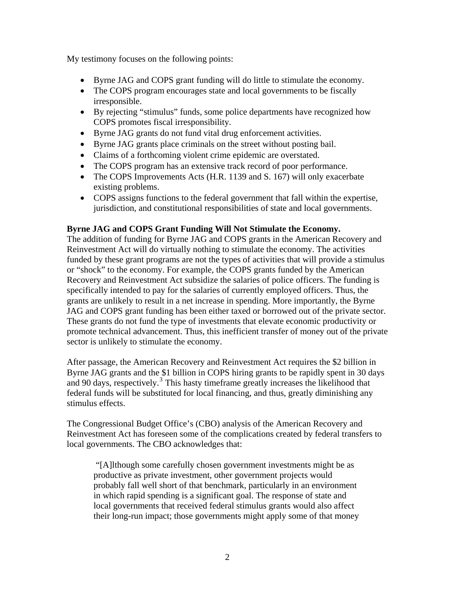My testimony focuses on the following points:

- Byrne JAG and COPS grant funding will do little to stimulate the economy.
- The COPS program encourages state and local governments to be fiscally irresponsible.
- By rejecting "stimulus" funds, some police departments have recognized how COPS promotes fiscal irresponsibility.
- Byrne JAG grants do not fund vital drug enforcement activities.
- Byrne JAG grants place criminals on the street without posting bail.
- Claims of a forthcoming violent crime epidemic are overstated.
- The COPS program has an extensive track record of poor performance.
- The COPS Improvements Acts (H.R. 1139 and S. 167) will only exacerbate existing problems.
- COPS assigns functions to the federal government that fall within the expertise, jurisdiction, and constitutional responsibilities of state and local governments.

#### **Byrne JAG and COPS Grant Funding Will Not Stimulate the Economy.**

The addition of funding for Byrne JAG and COPS grants in the American Recovery and Reinvestment Act will do virtually nothing to stimulate the economy. The activities funded by these grant programs are not the types of activities that will provide a stimulus or "shock" to the economy. For example, the COPS grants funded by the American Recovery and Reinvestment Act subsidize the salaries of police officers. The funding is specifically intended to pay for the salaries of currently employed officers. Thus, the grants are unlikely to result in a net increase in spending. More importantly, the Byrne JAG and COPS grant funding has been either taxed or borrowed out of the private sector. These grants do not fund the type of investments that elevate economic productivity or promote technical advancement. Thus, this inefficient transfer of money out of the private sector is unlikely to stimulate the economy.

After passage, the American Recovery and Reinvestment Act requires the \$2 billion in Byrne JAG grants and the \$1 billion in COPS hiring grants to be rapidly spent in 30 days and 90 days, respectively.<sup>[3](#page-18-1)</sup> This hasty timeframe greatly increases the likelihood that federal funds will be substituted for local financing, and thus, greatly diminishing any stimulus effects.

The Congressional Budget Office's (CBO) analysis of the American Recovery and Reinvestment Act has foreseen some of the complications created by federal transfers to local governments. The CBO acknowledges that:

 "[A]lthough some carefully chosen government investments might be as productive as private investment, other government projects would probably fall well short of that benchmark, particularly in an environment in which rapid spending is a significant goal. The response of state and local governments that received federal stimulus grants would also affect their long-run impact; those governments might apply some of that money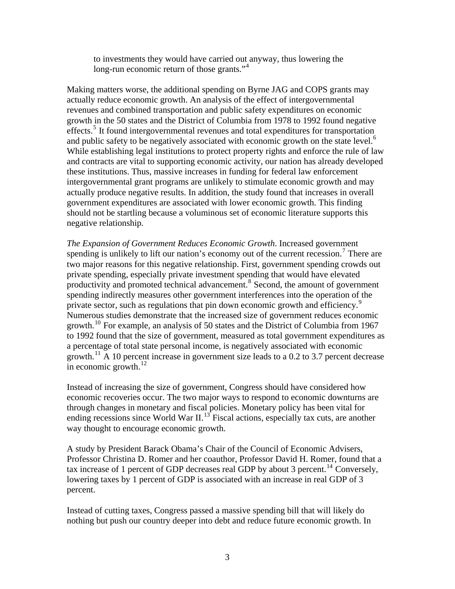to investments they would have carried out anyway, thus lowering the long-run economic return of those grants."<sup>[4](#page-18-1)</sup>

Making matters worse, the additional spending on Byrne JAG and COPS grants may actually reduce economic growth. An analysis of the effect of intergovernmental revenues and combined transportation and public safety expenditures on economic growth in the 50 states and the District of Columbia from 1978 to 1992 found negative effects.<sup>[5](#page-18-1)</sup> It found intergovernmental revenues and total expenditures for transportation and public safety to be negatively associated with economic growth on the state level.<sup>[6](#page-18-1)</sup> While establishing legal institutions to protect property rights and enforce the rule of law and contracts are vital to supporting economic activity, our nation has already developed these institutions. Thus, massive increases in funding for federal law enforcement intergovernmental grant programs are unlikely to stimulate economic growth and may actually produce negative results. In addition, the study found that increases in overall government expenditures are associated with lower economic growth. This finding should not be startling because a voluminous set of economic literature supports this negative relationship.

*The Expansion of Government Reduces Economic Growth*. Increased government spending is unlikely to lift our nation's economy out of the current recession.<sup>[7](#page-18-1)</sup> There are two major reasons for this negative relationship. First, government spending crowds out private spending, especially private investment spending that would have elevated productivity and promoted technical advancement.<sup>[8](#page-18-1)</sup> Second, the amount of government spending indirectly measures other government interferences into the operation of the private sector, such as regulations that pin down economic growth and efficiency.<sup>[9](#page-18-1)</sup> Numerous studies demonstrate that the increased size of government reduces economic growth.<sup>[10](#page-18-1)</sup> For example, an analysis of 50 states and the District of Columbia from 1967 to 1992 found that the size of government, measured as total government expenditures as a percentage of total state personal income, is negatively associated with economic growth.<sup>[11](#page-18-1)</sup> A 10 percent increase in government size leads to a 0.2 to 3.7 percent decrease in economic growth. $^{12}$  $^{12}$  $^{12}$ 

Instead of increasing the size of government, Congress should have considered how economic recoveries occur. The two major ways to respond to economic downturns are through changes in monetary and fiscal policies. Monetary policy has been vital for ending recessions since World War  $II$ .<sup>[13](#page-18-1)</sup> Fiscal actions, especially tax cuts, are another way thought to encourage economic growth.

A study by President Barack Obama's Chair of the Council of Economic Advisers, Professor Christina D. Romer and her coauthor, Professor David H. Romer, found that a tax increase of 1 percent of GDP decreases real GDP by about 3 percent.<sup>[14](#page-18-1)</sup> Conversely, lowering taxes by 1 percent of GDP is associated with an increase in real GDP of 3 percent.

Instead of cutting taxes, Congress passed a massive spending bill that will likely do nothing but push our country deeper into debt and reduce future economic growth. In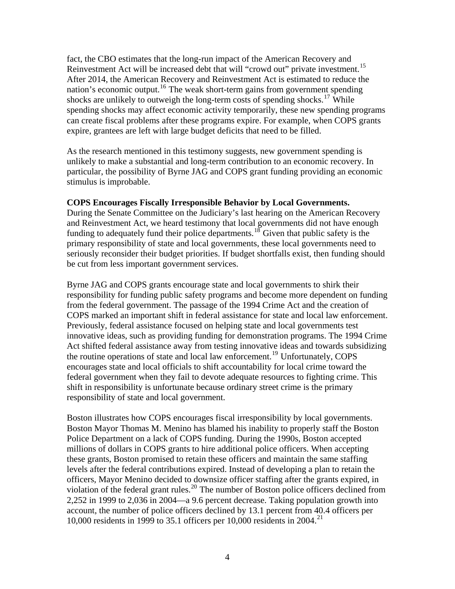fact, the CBO estimates that the long-run impact of the American Recovery and Reinvestment Act will be increased debt that will "crowd out" private investment.<sup>[15](#page-18-1)</sup> After 2014, the American Recovery and Reinvestment Act is estimated to reduce the nation's economic output.<sup>[16](#page-18-1)</sup> The weak short-term gains from government spending shocks are unlikely to outweigh the long-term costs of spending shocks.<sup>[17](#page-18-1)</sup> While spending shocks may affect economic activity temporarily, these new spending programs can create fiscal problems after these programs expire. For example, when COPS grants expire, grantees are left with large budget deficits that need to be filled.

As the research mentioned in this testimony suggests, new government spending is unlikely to make a substantial and long-term contribution to an economic recovery. In particular, the possibility of Byrne JAG and COPS grant funding providing an economic stimulus is improbable.

#### **COPS Encourages Fiscally Irresponsible Behavior by Local Governments.**

During the Senate Committee on the Judiciary's last hearing on the American Recovery and Reinvestment Act, we heard testimony that local governments did not have enough funding to adequately fund their police departments.<sup>[18](#page-18-1)</sup> Given that public safety is the primary responsibility of state and local governments, these local governments need to seriously reconsider their budget priorities. If budget shortfalls exist, then funding should be cut from less important government services.

Byrne JAG and COPS grants encourage state and local governments to shirk their responsibility for funding public safety programs and become more dependent on funding from the federal government. The passage of the 1994 Crime Act and the creation of COPS marked an important shift in federal assistance for state and local law enforcement. Previously, federal assistance focused on helping state and local governments test innovative ideas, such as providing funding for demonstration programs. The 1994 Crime Act shifted federal assistance away from testing innovative ideas and towards subsidizing the routine operations of state and local law enforcement.[19](#page-18-1) Unfortunately, COPS encourages state and local officials to shift accountability for local crime toward the federal government when they fail to devote adequate resources to fighting crime. This shift in responsibility is unfortunate because ordinary street crime is the primary responsibility of state and local government.

Boston illustrates how COPS encourages fiscal irresponsibility by local governments. Boston Mayor Thomas M. Menino has blamed his inability to properly staff the Boston Police Department on a lack of COPS funding. During the 1990s, Boston accepted millions of dollars in COPS grants to hire additional police officers. When accepting these grants, Boston promised to retain these officers and maintain the same staffing levels after the federal contributions expired. Instead of developing a plan to retain the officers, Mayor Menino decided to downsize officer staffing after the grants expired, in violation of the federal grant rules.<sup>[20](#page-18-1)</sup> The number of Boston police officers declined from 2,252 in 1999 to 2,036 in 2004—a 9.6 percent decrease. Taking population growth into account, the number of police officers declined by 13.1 percent from 40.4 officers per 10,000 residents in 1999 to 35.1 officers per 10,000 residents in 2004.<sup>[21](#page-18-1)</sup>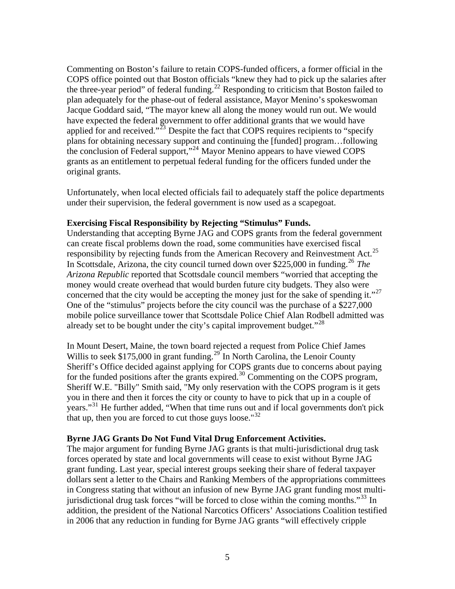Commenting on Boston's failure to retain COPS-funded officers, a former official in the COPS office pointed out that Boston officials "knew they had to pick up the salaries after the three-year period" of federal funding.<sup>[22](#page-18-1)</sup> Responding to criticism that Boston failed to plan adequately for the phase-out of federal assistance, Mayor Menino's spokeswoman Jacque Goddard said, "The mayor knew all along the money would run out. We would have expected the federal government to offer additional grants that we would have applied for and received."<sup>[23](#page-18-1)</sup> Despite the fact that COPS requires recipients to "specify" plans for obtaining necessary support and continuing the [funded] program…following the conclusion of Federal support,"<sup>[24](#page-18-1)</sup> Mayor Menino appears to have viewed COPS grants as an entitlement to perpetual federal funding for the officers funded under the original grants.

Unfortunately, when local elected officials fail to adequately staff the police departments under their supervision, the federal government is now used as a scapegoat.

#### **Exercising Fiscal Responsibility by Rejecting "Stimulus" Funds.**

Understanding that accepting Byrne JAG and COPS grants from the federal government can create fiscal problems down the road, some communities have exercised fiscal responsibility by rejecting funds from the American Recovery and Reinvestment Act.<sup>[25](#page-18-1)</sup> In Scottsdale, Arizona, the city council turned down over \$225,000 in funding.[26](#page-18-1) *The Arizona Republic* reported that Scottsdale council members "worried that accepting the money would create overhead that would burden future city budgets. They also were concerned that the city would be accepting the money just for the sake of spending it."<sup>[27](#page-18-1)</sup> One of the "stimulus" projects before the city council was the purchase of a \$227,000 mobile police surveillance tower that Scottsdale Police Chief Alan Rodbell admitted was already set to be bought under the city's capital improvement budget."<sup>[28](#page-18-1)</sup>

In Mount Desert, Maine, the town board rejected a request from Police Chief James Willis to seek \$175,000 in grant funding.<sup>[29](#page-18-1)</sup> In North Carolina, the Lenoir County Sheriff's Office decided against applying for COPS grants due to concerns about paying for the funded positions after the grants expired.<sup>[30](#page-18-1)</sup> Commenting on the COPS program, Sheriff W.E. "Billy" Smith said, "My only reservation with the COPS program is it gets you in there and then it forces the city or county to have to pick that up in a couple of years."<sup>[31](#page-18-1)</sup> He further added, "When that time runs out and if local governments don't pick that up, then you are forced to cut those guys loose." $32$ 

#### **Byrne JAG Grants Do Not Fund Vital Drug Enforcement Activities.**

The major argument for funding Byrne JAG grants is that multi-jurisdictional drug task forces operated by state and local governments will cease to exist without Byrne JAG grant funding. Last year, special interest groups seeking their share of federal taxpayer dollars sent a letter to the Chairs and Ranking Members of the appropriations committees in Congress stating that without an infusion of new Byrne JAG grant funding most multi-jurisdictional drug task forces "will be forced to close within the coming months."<sup>[33](#page-18-1)</sup> In addition, the president of the National Narcotics Officers' Associations Coalition testified in 2006 that any reduction in funding for Byrne JAG grants "will effectively cripple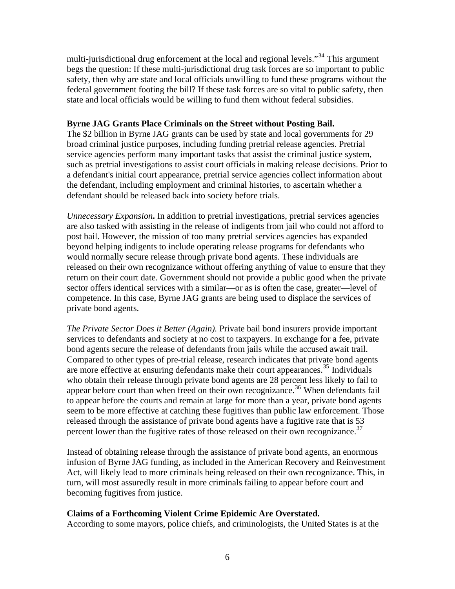multi-jurisdictional drug enforcement at the local and regional levels."<sup>[34](#page-18-1)</sup> This argument begs the question: If these multi-jurisdictional drug task forces are so important to public safety, then why are state and local officials unwilling to fund these programs without the federal government footing the bill? If these task forces are so vital to public safety, then state and local officials would be willing to fund them without federal subsidies.

#### **Byrne JAG Grants Place Criminals on the Street without Posting Bail.**

The \$2 billion in Byrne JAG grants can be used by state and local governments for 29 broad criminal justice purposes, including funding pretrial release agencies. Pretrial service agencies perform many important tasks that assist the criminal justice system, such as pretrial investigations to assist court officials in making release decisions. Prior to a defendant's initial court appearance, pretrial service agencies collect information about the defendant, including employment and criminal histories, to ascertain whether a defendant should be released back into society before trials.

*Unnecessary Expansion***.** In addition to pretrial investigations, pretrial services agencies are also tasked with assisting in the release of indigents from jail who could not afford to post bail. However, the mission of too many pretrial services agencies has expanded beyond helping indigents to include operating release programs for defendants who would normally secure release through private bond agents. These individuals are released on their own recognizance without offering anything of value to ensure that they return on their court date. Government should not provide a public good when the private sector offers identical services with a similar—or as is often the case, greater—level of competence. In this case, Byrne JAG grants are being used to displace the services of private bond agents.

*The Private Sector Does it Better (Again).* Private bail bond insurers provide important services to defendants and society at no cost to taxpayers. In exchange for a fee, private bond agents secure the release of defendants from jails while the accused await trail. Compared to other types of pre-trial release, research indicates that private bond agents are more effective at ensuring defendants make their court appearances.<sup>[35](#page-18-1)</sup> Individuals who obtain their release through private bond agents are 28 percent less likely to fail to appear before court than when freed on their own recognizance.<sup>[36](#page-18-1)</sup> When defendants fail to appear before the courts and remain at large for more than a year, private bond agents seem to be more effective at catching these fugitives than public law enforcement. Those released through the assistance of private bond agents have a fugitive rate that is 53 percent lower than the fugitive rates of those released on their own recognizance.<sup>[37](#page-18-1)</sup>

Instead of obtaining release through the assistance of private bond agents, an enormous infusion of Byrne JAG funding, as included in the American Recovery and Reinvestment Act, will likely lead to more criminals being released on their own recognizance. This, in turn, will most assuredly result in more criminals failing to appear before court and becoming fugitives from justice.

#### **Claims of a Forthcoming Violent Crime Epidemic Are Overstated.**

According to some mayors, police chiefs, and criminologists, the United States is at the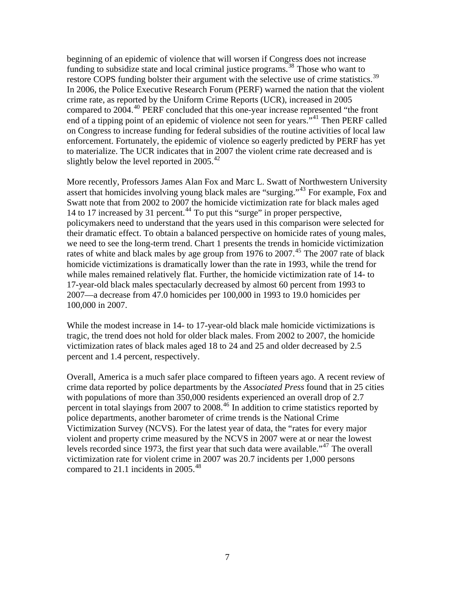beginning of an epidemic of violence that will worsen if Congress does not increase funding to subsidize state and local criminal justice programs.<sup>[38](#page-18-1)</sup> Those who want to restore COPS funding bolster their argument with the selective use of crime statistics.<sup>[39](#page-18-1)</sup> In 2006, the Police Executive Research Forum (PERF) warned the nation that the violent crime rate, as reported by the Uniform Crime Reports (UCR), increased in 2005 compared to 2004.<sup>[40](#page-18-1)</sup> PERF concluded that this one-year increase represented "the front end of a tipping point of an epidemic of violence not seen for years."<sup>[41](#page-18-1)</sup> Then PERF called on Congress to increase funding for federal subsidies of the routine activities of local law enforcement. Fortunately, the epidemic of violence so eagerly predicted by PERF has yet to materialize. The UCR indicates that in 2007 the violent crime rate decreased and is slightly below the level reported in  $2005.^{42}$  $2005.^{42}$  $2005.^{42}$ 

More recently, Professors James Alan Fox and Marc L. Swatt of Northwestern University assert that homicides involving young black males are "surging."[43](#page-18-1) For example, Fox and Swatt note that from 2002 to 2007 the homicide victimization rate for black males aged 14 to 17 increased by 31 percent.<sup>[44](#page-18-1)</sup> To put this "surge" in proper perspective, policymakers need to understand that the years used in this comparison were selected for their dramatic effect. To obtain a balanced perspective on homicide rates of young males, we need to see the long-term trend. Chart 1 presents the trends in homicide victimization rates of white and black males by age group from 1976 to 2007.<sup>[45](#page-18-1)</sup> The 2007 rate of black homicide victimizations is dramatically lower than the rate in 1993, while the trend for while males remained relatively flat. Further, the homicide victimization rate of 14- to 17-year-old black males spectacularly decreased by almost 60 percent from 1993 to 2007—a decrease from 47.0 homicides per 100,000 in 1993 to 19.0 homicides per 100,000 in 2007.

While the modest increase in 14- to 17-year-old black male homicide victimizations is tragic, the trend does not hold for older black males. From 2002 to 2007, the homicide victimization rates of black males aged 18 to 24 and 25 and older decreased by 2.5 percent and 1.4 percent, respectively.

Overall, America is a much safer place compared to fifteen years ago. A recent review of crime data reported by police departments by the *Associated Press* found that in 25 cities with populations of more than 350,000 residents experienced an overall drop of 2.7 percent in total slayings from 2007 to 2008.<sup>[46](#page-18-1)</sup> In addition to crime statistics reported by police departments, another barometer of crime trends is the National Crime Victimization Survey (NCVS). For the latest year of data, the "rates for every major violent and property crime measured by the NCVS in 2007 were at or near the lowest levels recorded since 1973, the first year that such data were available."<sup>[47](#page-18-1)</sup> The overall victimization rate for violent crime in 2007 was 20.7 incidents per 1,000 persons compared to 21.1 incidents in 2005.<sup>[48](#page-18-1)</sup>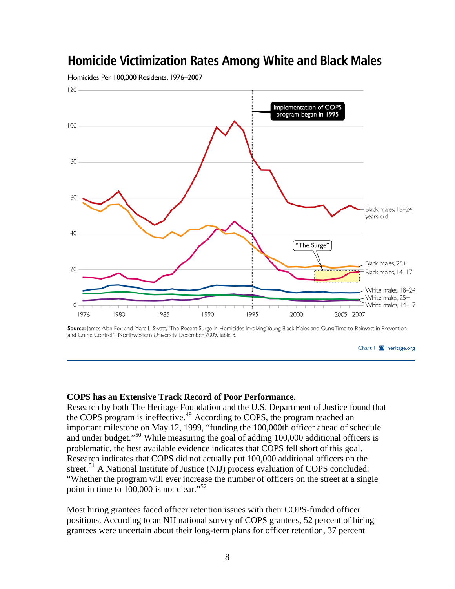

# **Homicide Victimization Rates Among White and Black Males**

Homicides Per 100,000 Residents, 1976-2007

Source: James Alan Fox and Marc L. Swatt, "The Recent Surge in Homicides Involving Young Black Males and Guns: Time to Reinvest in Prevention and Crime Control," Northwestern University, December 2009, Table 8.



#### **COPS has an Extensive Track Record of Poor Performance.**

Research by both The Heritage Foundation and the U.S. Department of Justice found that the COPS program is ineffective.<sup>[49](#page-18-1)</sup> According to COPS, the program reached an important milestone on May 12, 1999, "funding the 100,000th officer ahead of schedule and under budget."[50](#page-18-1) While measuring the goal of adding 100,000 additional officers is problematic, the best available evidence indicates that COPS fell short of this goal. Research indicates that COPS did not actually put 100,000 additional officers on the street.<sup>[51](#page-18-1)</sup> A National Institute of Justice (NIJ) process evaluation of COPS concluded: "Whether the program will ever increase the number of officers on the street at a single point in time to  $100,000$  is not clear."<sup>[52](#page-18-1)</sup>

Most hiring grantees faced officer retention issues with their COPS-funded officer positions. According to an NIJ national survey of COPS grantees, 52 percent of hiring grantees were uncertain about their long-term plans for officer retention, 37 percent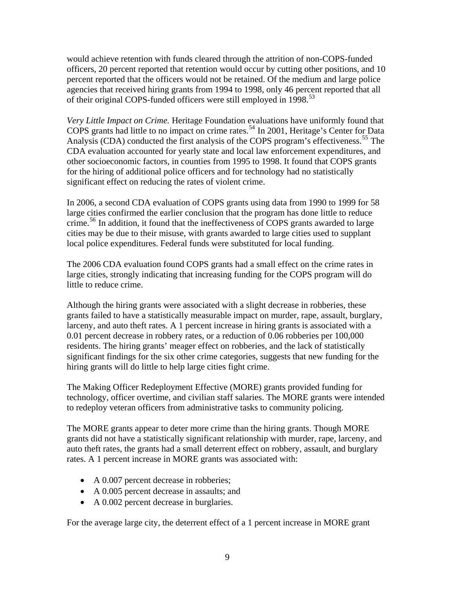would achieve retention with funds cleared through the attrition of non-COPS-funded officers, 20 percent reported that retention would occur by cutting other positions, and 10 percent reported that the officers would not be retained. Of the medium and large police agencies that received hiring grants from 1994 to 1998, only 46 percent reported that all of their original COPS-funded officers were still employed in 1998.<sup>[53](#page-18-1)</sup>

*Very Little Impact on Crime.* Heritage Foundation evaluations have uniformly found that COPS grants had little to no impact on crime rates.<sup>[54](#page-18-1)</sup> In 2001, Heritage's Center for Data Analysis (CDA) conducted the first analysis of the COPS program's effectiveness.<sup>[55](#page-18-1)</sup> The CDA evaluation accounted for yearly state and local law enforcement expenditures, and other socioeconomic factors, in counties from 1995 to 1998. It found that COPS grants for the hiring of additional police officers and for technology had no statistically significant effect on reducing the rates of violent crime.

In 2006, a second CDA evaluation of COPS grants using data from 1990 to 1999 for 58 large cities confirmed the earlier conclusion that the program has done little to reduce crime.<sup>[56](#page-18-1)</sup> In addition, it found that the ineffectiveness of COPS grants awarded to large cities may be due to their misuse, with grants awarded to large cities used to supplant local police expenditures. Federal funds were substituted for local funding.

The 2006 CDA evaluation found COPS grants had a small effect on the crime rates in large cities, strongly indicating that increasing funding for the COPS program will do little to reduce crime.

Although the hiring grants were associated with a slight decrease in robberies, these grants failed to have a statistically measurable impact on murder, rape, assault, burglary, larceny, and auto theft rates. A 1 percent increase in hiring grants is associated with a 0.01 percent decrease in robbery rates, or a reduction of 0.06 robberies per 100,000 residents. The hiring grants' meager effect on robberies, and the lack of statistically significant findings for the six other crime categories, suggests that new funding for the hiring grants will do little to help large cities fight crime.

The Making Officer Redeployment Effective (MORE) grants provided funding for technology, officer overtime, and civilian staff salaries. The MORE grants were intended to redeploy veteran officers from administrative tasks to community policing.

The MORE grants appear to deter more crime than the hiring grants. Though MORE grants did not have a statistically significant relationship with murder, rape, larceny, and auto theft rates, the grants had a small deterrent effect on robbery, assault, and burglary rates. A 1 percent increase in MORE grants was associated with:

- A 0.007 percent decrease in robberies;
- A 0.005 percent decrease in assaults; and
- A 0.002 percent decrease in burglaries.

For the average large city, the deterrent effect of a 1 percent increase in MORE grant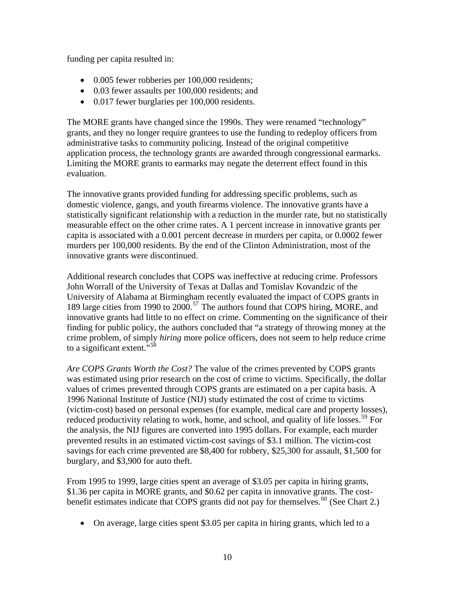funding per capita resulted in:

- 0.005 fewer robberies per 100,000 residents;
- 0.03 fewer assaults per 100,000 residents; and
- 0.017 fewer burglaries per 100,000 residents.

The MORE grants have changed since the 1990s. They were renamed "technology" grants, and they no longer require grantees to use the funding to redeploy officers from administrative tasks to community policing. Instead of the original competitive application process, the technology grants are awarded through congressional earmarks. Limiting the MORE grants to earmarks may negate the deterrent effect found in this evaluation.

The innovative grants provided funding for addressing specific problems, such as domestic violence, gangs, and youth firearms violence. The innovative grants have a statistically significant relationship with a reduction in the murder rate, but no statistically measurable effect on the other crime rates. A 1 percent increase in innovative grants per capita is associated with a 0.001 percent decrease in murders per capita, or 0.0002 fewer murders per 100,000 residents. By the end of the Clinton Administration, most of the innovative grants were discontinued.

Additional research concludes that COPS was ineffective at reducing crime. Professors John Worrall of the University of Texas at Dallas and Tomislav Kovandzic of the University of Alabama at Birmingham recently evaluated the impact of COPS grants in 189 large cities from 1990 to 2000.<sup>[57](#page-18-1)</sup> The authors found that COPS hiring, MORE, and innovative grants had little to no effect on crime. Commenting on the significance of their finding for public policy, the authors concluded that "a strategy of throwing money at the crime problem, of simply *hiring* more police officers, does not seem to help reduce crime to a significant extent."<sup>[58](#page-18-1)</sup>

*Are COPS Grants Worth the Cost?* The value of the crimes prevented by COPS grants was estimated using prior research on the cost of crime to victims. Specifically, the dollar values of crimes prevented through COPS grants are estimated on a per capita basis. A 1996 National Institute of Justice (NIJ) study estimated the cost of crime to victims (victim-cost) based on personal expenses (for example, medical care and property losses), reduced productivity relating to work, home, and school, and quality of life losses.<sup>[59](#page-18-1)</sup> For the analysis, the NIJ figures are converted into 1995 dollars. For example, each murder prevented results in an estimated victim-cost savings of \$3.1 million. The victim-cost savings for each crime prevented are \$8,400 for robbery, \$25,300 for assault, \$1,500 for burglary, and \$3,900 for auto theft.

From 1995 to 1999, large cities spent an average of \$3.05 per capita in hiring grants, \$1.36 per capita in MORE grants, and \$0.62 per capita in innovative grants. The cost-benefit estimates indicate that COPS grants did not pay for themselves.<sup>[60](#page-18-1)</sup> (See Chart 2.)

• On average, large cities spent \$3.05 per capita in hiring grants, which led to a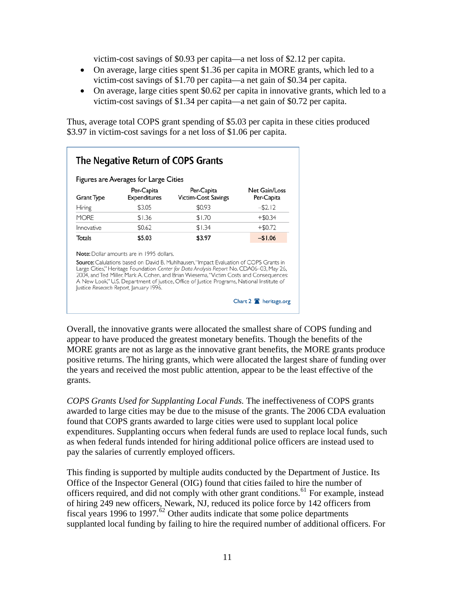victim-cost savings of \$0.93 per capita—a net loss of \$2.12 per capita.

- On average, large cities spent \$1.36 per capita in MORE grants, which led to a victim-cost savings of \$1.70 per capita—a net gain of \$0.34 per capita.
- On average, large cities spent \$0.62 per capita in innovative grants, which led to a victim-cost savings of \$1.34 per capita—a net gain of \$0.72 per capita.

Thus, average total COPS grant spending of \$5.03 per capita in these cities produced \$3.97 in victim-cost savings for a net loss of \$1.06 per capita.

| Figures are Averages for Large Cities |                                                                                            |                                                                                                                                                                                                                                                                                                                                                                             |                                    |  |
|---------------------------------------|--------------------------------------------------------------------------------------------|-----------------------------------------------------------------------------------------------------------------------------------------------------------------------------------------------------------------------------------------------------------------------------------------------------------------------------------------------------------------------------|------------------------------------|--|
| <b>Grant Type</b>                     | Per-Capita<br><b>Expenditures</b>                                                          | Per-Capita<br><b>Victim-Cost Savings</b>                                                                                                                                                                                                                                                                                                                                    | <b>Net Gain/Loss</b><br>Per-Capita |  |
| Hiring                                | \$3.05                                                                                     | \$0.93                                                                                                                                                                                                                                                                                                                                                                      | $-$ \$2.12                         |  |
| <b>MORE</b>                           | \$1.36                                                                                     | \$1.70                                                                                                                                                                                                                                                                                                                                                                      | $+$ \$0.34                         |  |
| Innovative                            | \$0.62                                                                                     | \$1.34                                                                                                                                                                                                                                                                                                                                                                      | $+$ \$0.72                         |  |
| Totals                                | \$5.03                                                                                     | \$3.97                                                                                                                                                                                                                                                                                                                                                                      | $-$1.06$                           |  |
|                                       | <b>Note:</b> Dollar amounts are in 1995 dollars.<br>Justice Research Report, January 1996. | Source: Calulations based on David B. Muhlhausen, "Impact Evaluation of COPS Grants in<br>Large Cities," Heritage Foundation Center for Data Analysis Report No. CDA06-03, May 26,<br>2004, and Ted Miller, Mark A. Cohen, and Brian Wiesema, "Victim Costs and Consequences:<br>A New Look," U.S. Department of Justice, Office of Justice Programs, National Institute of |                                    |  |

Overall, the innovative grants were allocated the smallest share of COPS funding and appear to have produced the greatest monetary benefits. Though the benefits of the MORE grants are not as large as the innovative grant benefits, the MORE grants produce positive returns. The hiring grants, which were allocated the largest share of funding over the years and received the most public attention, appear to be the least effective of the grants.

*COPS Grants Used for Supplanting Local Funds.* The ineffectiveness of COPS grants awarded to large cities may be due to the misuse of the grants. The 2006 CDA evaluation found that COPS grants awarded to large cities were used to supplant local police expenditures. Supplanting occurs when federal funds are used to replace local funds, such as when federal funds intended for hiring additional police officers are instead used to pay the salaries of currently employed officers.

This finding is supported by multiple audits conducted by the Department of Justice. Its Office of the Inspector General (OIG) found that cities failed to hire the number of officers required, and did not comply with other grant conditions.<sup>[61](#page-18-1)</sup> For example, instead of hiring 249 new officers, Newark, NJ, reduced its police force by 142 officers from fiscal years 1996 to 1997.<sup>[62](#page-18-1)</sup> Other audits indicate that some police departments supplanted local funding by failing to hire the required number of additional officers. For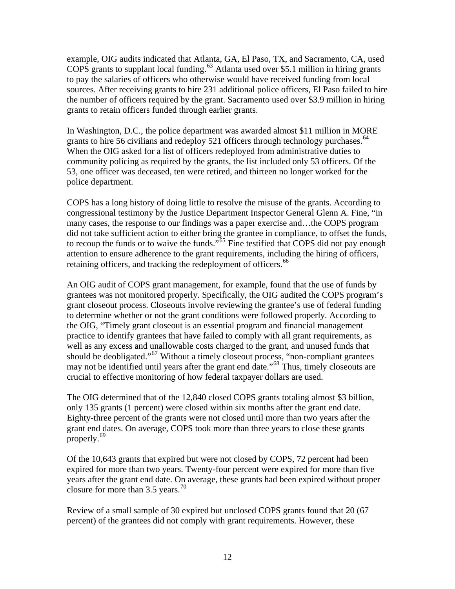example, OIG audits indicated that Atlanta, GA, El Paso, TX, and Sacramento, CA, used COPS grants to supplant local funding.<sup>[63](#page-18-1)</sup> Atlanta used over \$5.1 million in hiring grants to pay the salaries of officers who otherwise would have received funding from local sources. After receiving grants to hire 231 additional police officers, El Paso failed to hire the number of officers required by the grant. Sacramento used over \$3.9 million in hiring grants to retain officers funded through earlier grants.

In Washington, D.C., the police department was awarded almost \$11 million in MORE grants to hire 56 civilians and redeploy 521 officers through technology purchases.  $64$ When the OIG asked for a list of officers redeployed from administrative duties to community policing as required by the grants, the list included only 53 officers. Of the 53, one officer was deceased, ten were retired, and thirteen no longer worked for the police department.

COPS has a long history of doing little to resolve the misuse of the grants. According to congressional testimony by the Justice Department Inspector General Glenn A. Fine, "in many cases, the response to our findings was a paper exercise and…the COPS program did not take sufficient action to either bring the grantee in compliance, to offset the funds, to recoup the funds or to waive the funds."<sup>[65](#page-18-1)</sup> Fine testified that COPS did not pay enough attention to ensure adherence to the grant requirements, including the hiring of officers, retaining officers, and tracking the redeployment of officers.<sup>[66](#page-18-1)</sup>

An OIG audit of COPS grant management, for example, found that the use of funds by grantees was not monitored properly. Specifically, the OIG audited the COPS program's grant closeout process. Closeouts involve reviewing the grantee's use of federal funding to determine whether or not the grant conditions were followed properly. According to the OIG, "Timely grant closeout is an essential program and financial management practice to identify grantees that have failed to comply with all grant requirements, as well as any excess and unallowable costs charged to the grant, and unused funds that should be deobligated."<sup>[67](#page-18-1)</sup> Without a timely closeout process, "non-compliant grantees" may not be identified until years after the grant end date."[68](#page-18-1) Thus, timely closeouts are crucial to effective monitoring of how federal taxpayer dollars are used.

The OIG determined that of the 12,840 closed COPS grants totaling almost \$3 billion, only 135 grants (1 percent) were closed within six months after the grant end date. Eighty-three percent of the grants were not closed until more than two years after the grant end dates. On average, COPS took more than three years to close these grants properly.[69](#page-18-1)

Of the 10,643 grants that expired but were not closed by COPS, 72 percent had been expired for more than two years. Twenty-four percent were expired for more than five years after the grant end date. On average, these grants had been expired without proper closure for more than  $3.5$  years.<sup>[70](#page-18-1)</sup>

Review of a small sample of 30 expired but unclosed COPS grants found that 20 (67 percent) of the grantees did not comply with grant requirements. However, these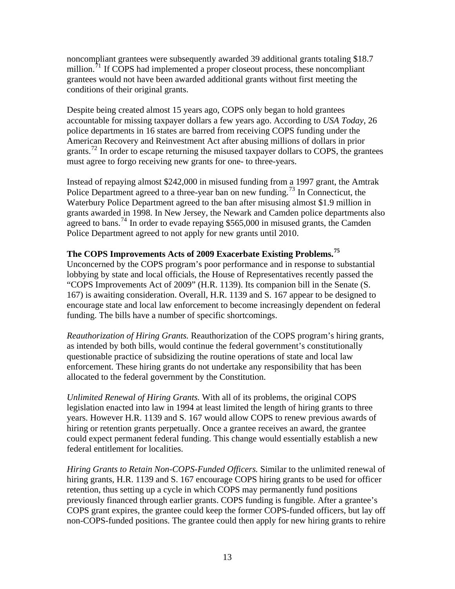noncompliant grantees were subsequently awarded 39 additional grants totaling \$18.7 million. ${}^{71}$  ${}^{71}$  ${}^{71}$  If COPS had implemented a proper closeout process, these noncompliant grantees would not have been awarded additional grants without first meeting the conditions of their original grants.

Despite being created almost 15 years ago, COPS only began to hold grantees accountable for missing taxpayer dollars a few years ago. According to *USA Today*, 26 police departments in 16 states are barred from receiving COPS funding under the American Recovery and Reinvestment Act after abusing millions of dollars in prior grants.<sup>[72](#page-18-1)</sup> In order to escape returning the misused taxpayer dollars to COPS, the grantees must agree to forgo receiving new grants for one- to three-years.

Instead of repaying almost \$242,000 in misused funding from a 1997 grant, the Amtrak Police Department agreed to a three-year ban on new funding.<sup>[73](#page-18-1)</sup> In Connecticut, the Waterbury Police Department agreed to the ban after misusing almost \$1.9 million in grants awarded in 1998. In New Jersey, the Newark and Camden police departments also agreed to bans.<sup>[74](#page-18-1)</sup> In order to evade repaying \$565,000 in misused grants, the Camden Police Department agreed to not apply for new grants until 2010.

### **The COPS Improvements Acts of 2009 Exacerbate Existing Problems.[75](#page-18-1)**

Unconcerned by the COPS program's poor performance and in response to substantial lobbying by state and local officials, the House of Representatives recently passed the "COPS Improvements Act of 2009" (H.R. 1139). Its companion bill in the Senate (S. 167) is awaiting consideration. Overall, H.R. 1139 and S. 167 appear to be designed to encourage state and local law enforcement to become increasingly dependent on federal funding. The bills have a number of specific shortcomings.

*Reauthorization of Hiring Grants.* Reauthorization of the COPS program's hiring grants, as intended by both bills, would continue the federal government's constitutionally questionable practice of subsidizing the routine operations of state and local law enforcement. These hiring grants do not undertake any responsibility that has been allocated to the federal government by the Constitution.

*Unlimited Renewal of Hiring Grants.* With all of its problems, the original COPS legislation enacted into law in 1994 at least limited the length of hiring grants to three years. However H.R. 1139 and S. 167 would allow COPS to renew previous awards of hiring or retention grants perpetually. Once a grantee receives an award, the grantee could expect permanent federal funding. This change would essentially establish a new federal entitlement for localities.

*Hiring Grants to Retain Non-COPS-Funded Officers.* Similar to the unlimited renewal of hiring grants*,* H.R. 1139 and S. 167 encourage COPS hiring grants to be used for officer retention, thus setting up a cycle in which COPS may permanently fund positions previously financed through earlier grants. COPS funding is fungible. After a grantee's COPS grant expires, the grantee could keep the former COPS-funded officers, but lay off non-COPS-funded positions. The grantee could then apply for new hiring grants to rehire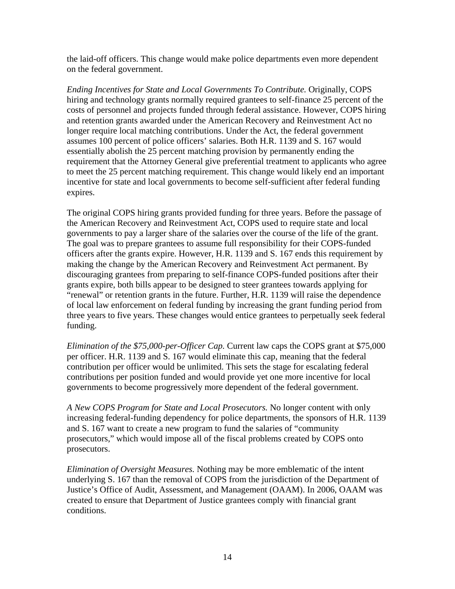the laid-off officers. This change would make police departments even more dependent on the federal government.

*Ending Incentives for State and Local Governments To Contribute.* Originally, COPS hiring and technology grants normally required grantees to self-finance 25 percent of the costs of personnel and projects funded through federal assistance. However, COPS hiring and retention grants awarded under the American Recovery and Reinvestment Act no longer require local matching contributions. Under the Act, the federal government assumes 100 percent of police officers' salaries. Both H.R. 1139 and S. 167 would essentially abolish the 25 percent matching provision by permanently ending the requirement that the Attorney General give preferential treatment to applicants who agree to meet the 25 percent matching requirement. This change would likely end an important incentive for state and local governments to become self-sufficient after federal funding expires.

The original COPS hiring grants provided funding for three years. Before the passage of the American Recovery and Reinvestment Act, COPS used to require state and local governments to pay a larger share of the salaries over the course of the life of the grant. The goal was to prepare grantees to assume full responsibility for their COPS-funded officers after the grants expire. However, H.R. 1139 and S. 167 ends this requirement by making the change by the American Recovery and Reinvestment Act permanent. By discouraging grantees from preparing to self-finance COPS-funded positions after their grants expire, both bills appear to be designed to steer grantees towards applying for "renewal" or retention grants in the future. Further, H.R. 1139 will raise the dependence of local law enforcement on federal funding by increasing the grant funding period from three years to five years. These changes would entice grantees to perpetually seek federal funding.

*Elimination of the \$75,000-per-Officer Cap.* Current law caps the COPS grant at \$75,000 per officer. H.R. 1139 and S. 167 would eliminate this cap, meaning that the federal contribution per officer would be unlimited. This sets the stage for escalating federal contributions per position funded and would provide yet one more incentive for local governments to become progressively more dependent of the federal government.

*A New COPS Program for State and Local Prosecutors.* No longer content with only increasing federal-funding dependency for police departments, the sponsors of H.R. 1139 and S. 167 want to create a new program to fund the salaries of "community prosecutors," which would impose all of the fiscal problems created by COPS onto prosecutors.

*Elimination of Oversight Measures.* Nothing may be more emblematic of the intent underlying S. 167 than the removal of COPS from the jurisdiction of the Department of Justice's Office of Audit, Assessment, and Management (OAAM). In 2006, OAAM was created to ensure that Department of Justice grantees comply with financial grant conditions.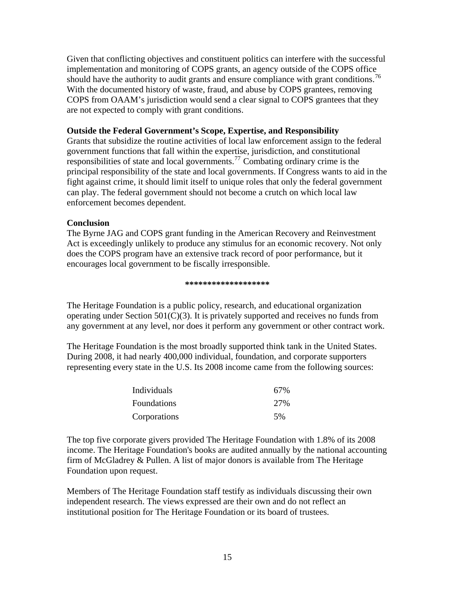Given that conflicting objectives and constituent politics can interfere with the successful implementation and monitoring of COPS grants, an agency outside of the COPS office should have the authority to audit grants and ensure compliance with grant conditions.<sup>[76](#page-18-1)</sup> With the documented history of waste, fraud, and abuse by COPS grantees, removing COPS from OAAM's jurisdiction would send a clear signal to COPS grantees that they are not expected to comply with grant conditions.

#### **Outside the Federal Government's Scope, Expertise, and Responsibility**

Grants that subsidize the routine activities of local law enforcement assign to the federal government functions that fall within the expertise, jurisdiction, and constitutional responsibilities of state and local governments.<sup>[77](#page-18-1)</sup> Combating ordinary crime is the principal responsibility of the state and local governments. If Congress wants to aid in the fight against crime, it should limit itself to unique roles that only the federal government can play. The federal government should not become a crutch on which local law enforcement becomes dependent.

#### **Conclusion**

The Byrne JAG and COPS grant funding in the American Recovery and Reinvestment Act is exceedingly unlikely to produce any stimulus for an economic recovery. Not only does the COPS program have an extensive track record of poor performance, but it encourages local government to be fiscally irresponsible.

#### **\*\*\*\*\*\*\*\*\*\*\*\*\*\*\*\*\*\*\***

The Heritage Foundation is a public policy, research, and educational organization operating under Section 501(C)(3). It is privately supported and receives no funds from any government at any level, nor does it perform any government or other contract work.

The Heritage Foundation is the most broadly supported think tank in the United States. During 2008, it had nearly 400,000 individual, foundation, and corporate supporters representing every state in the U.S. Its 2008 income came from the following sources:

| Individuals  | 67% |
|--------------|-----|
| Foundations  | 27% |
| Corporations | .5% |

The top five corporate givers provided The Heritage Foundation with 1.8% of its 2008 income. The Heritage Foundation's books are audited annually by the national accounting firm of McGladrey & Pullen. A list of major donors is available from The Heritage Foundation upon request.

Members of The Heritage Foundation staff testify as individuals discussing their own independent research. The views expressed are their own and do not reflect an institutional position for The Heritage Foundation or its board of trustees.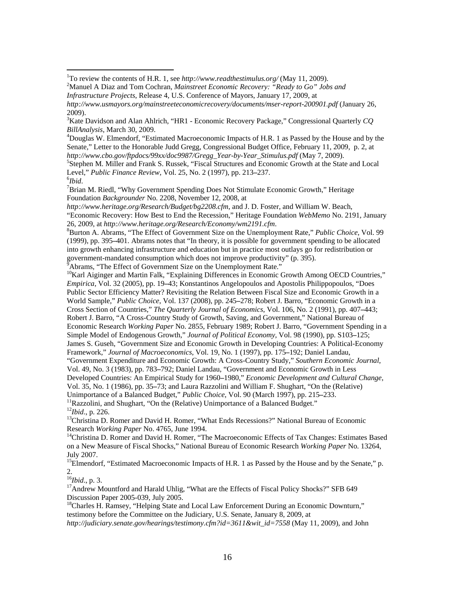Douglas W. Elmendorf, "Estimated Macroeconomic Impacts of H.R. 1 as Passed by the House and by the Senate," Letter to the Honorable Judd Gregg, Congressional Budget Office, February 11, 2009, p. 2, at *http://www.cbo.gov/ftpdocs/99xx/doc9987/Gregg\_Year-by-Year\_Stimulus.pdf* (May 7, 2009). 5

Stephen M. Miller and Frank S. Russek, "Fiscal Structures and Economic Growth at the State and Local Level," *Public Finance Review*, Vol. 25, No. 2 (1997), pp. 213**–**237. 6

 $\overline{a}$ 

<sup>7</sup>Brian M. Riedl, "Why Government Spending Does Not Stimulate Economic Growth," Heritage Foundation *Backgrounder* No. 2208, November 12, 2008, at

*http://www.heritage.org/Research/Budget/bg2208.cfm*, and J. D. Foster, and William W. Beach, "Economic Recovery: How Best to End the Recession," Heritage Foundation *WebMemo* No. 2191, January 26, 2009, at *http://www.heritage.org/Research/Economy/wm2191.cfm*. 8

Burton A. Abrams, "The Effect of Government Size on the Unemployment Rate," *Public Choice*, Vol. 99 (1999), pp. 395**–**401. Abrams notes that "In theory, it is possible for government spending to be allocated into growth enhancing infrastructure and education but in practice most outlays go for redistribution or government-mandated consumption which does not improve productivity" (p. 395).

Abrams, "The Effect of Government Size on the Unemployment Rate."

<sup>10</sup>Karl Aiginger and Martin Falk, "Explaining Differences in Economic Growth Among OECD Countries," *Empirica*, Vol. 32 (2005), pp. 19**–**43; Konstantinos Angelopoulos and Apostolis Philippopoulos, "Does Public Sector Efficiency Matter? Revisiting the Relation Between Fiscal Size and Economic Growth in a World Sample," *Public Choice*, Vol. 137 (2008), pp. 245**–**278; Robert J. Barro, "Economic Growth in a Cross Section of Countries," *The Quarterly Journal of Economics*, Vol. 106, No. 2 (1991), pp. 407**–**443; Robert J. Barro, "A Cross-Country Study of Growth, Saving, and Government," National Bureau of Economic Research *Working Paper* No. 2855, February 1989; Robert J. Barro, "Government Spending in a Simple Model of Endogenous Growth," *Journal of Political Economy*, Vol. 98 (1990), pp. S103**–**125; James S. Guseh, "Government Size and Economic Growth in Developing Countries: A Political-Economy Framework," *Journal of Macroeconomics*, Vol. 19, No. 1 (1997), pp. 175**–**192; Daniel Landau, "Government Expenditure and Economic Growth: A Cross-Country Study," *Southern Economic Journal*, Vol. 49, No. 3 (1983), pp. 783**–**792; Daniel Landau, "Government and Economic Growth in Less Developed Countries: An Empirical Study for 1960**–**1980," *Economic Development and Cultural Change*, Vol. 35, No. 1 (1986), pp. 35**–**73; and Laura Razzolini and William F. Shughart, "On the (Relative) Unimportance of a Balanced Budget," *Public Choice*, Vol. 90 (March 1997), pp. 215–233.<br><sup>11</sup>Razzolini, and Shughart, "On the (Relative) Unimportance of a Balanced Budget."<br><sup>12</sup>*Ibid.*, p. 226.<br><sup>13</sup>Christina D. Romer and Da

Research *Working Paper* No. 4765, June 1994.<br><sup>14</sup>Christina D. Romer and David H. Romer, "The Macroeconomic Effects of Tax Changes: Estimates Based on a New Measure of Fiscal Shocks," National Bureau of Economic Research *Working Paper* No. 13264, July 2007.

<sup>15</sup>Elmendorf, "Estimated Macroeconomic Impacts of H.R. 1 as Passed by the House and by the Senate," p. 2.<br> $^{16}Ibid., p. 3.$ 

<sup>17</sup>Andrew Mountford and Harald Uhlig, "What are the Effects of Fiscal Policy Shocks?" SFB 649 Discussion Paper 2005-039, July 2005.

<sup>18</sup>Charles H. Ramsey, "Helping State and Local Law Enforcement During an Economic Downturn," testimony before the Committee on the Judiciary, U.S. Senate, January 8, 2009, at *http://judiciary.senate.gov/hearings/testimony.cfm?id=3611&wit\_id=7558* (May 11, 2009), and John

<sup>&</sup>lt;sup>1</sup>To review the contents of H.R. 1, see *http://www.readthestimulus.org/* (May 11, 2009).

Manuel A Diaz and Tom Cochran, *Mainstreet Economic Recovery: "Ready to Go" Jobs and Infrastructure Projects*, Release 4, U.S. Conference of Mayors, January 17, 2009, at

*http://www.usmayors.org/mainstreeteconomicrecovery/documents/mser-report-200901.pdf* (January 26, 2009).

<sup>3</sup> Kate Davidson and Alan Ahlrich, "HR1 - Economic Recovery Package," Congressional Quarterly *CQ BillAnalysis*, March 30, 2009. 4

 $^6$ *Ibid.*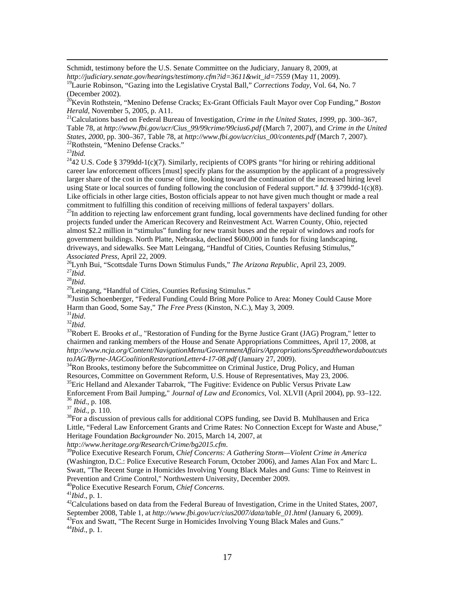Schmidt, testimony before the U.S. Senate Committee on the Judiciary, January 8, 2009, at *http://judiciary.senate.gov/hearings/testimony.cfm?id=3611&wit\_id=7559* (May 11, 2009).

19Laurie Robinson, "Gazing into the Legislative Crystal Ball," *Corrections Today*, Vol. 64, No. 7 (December 2002).

20Kevin Rothstein, "Menino Defense Cracks; Ex-Grant Officials Fault Mayor over Cop Funding," *Boston Herald*, November 5, 2005, p. A11.<br><sup>21</sup>Calculations based on Federal Bureau of Investigation, *Crime in the United States, 1999*, pp. 300–367,

Table 78, at *http://www.fbi.gov/ucr/Cius\_99/99crime/99cius6.pdf* (March 7, 2007), and *Crime in the United States, 2000*, pp. 300–367, Table 78, at *http://www.fbi.gov/ucr/cius\_00/contents.pdf* (March 7, 2007). 22Rothstein, "Menino Defense Cracks."

<sup>23</sup>*Ibid.*

 $2442$  U.S. Code § 3799dd-1(c)(7). Similarly, recipients of COPS grants "for hiring or rehiring additional career law enforcement officers [must] specify plans for the assumption by the applicant of a progressively larger share of the cost in the course of time, looking toward the continuation of the increased hiring level using State or local sources of funding following the conclusion of Federal support." *Id.* § 3799dd-1(c)(8). Like officials in other large cities, Boston officials appear to not have given much thought or made a real

commitment to fulfilling this condition of receiving millions of federal taxpayers' dollars.<br><sup>25</sup>In addition to rejecting law enforcement grant funding, local governments have declined funding for other projects funded under the American Recovery and Reinvestment Act. Warren County, Ohio, rejected almost \$2.2 million in "stimulus" funding for new transit buses and the repair of windows and roofs for government buildings. North Platte, Nebraska, declined \$600,000 in funds for fixing landscaping, driveways, and sidewalks. See Matt Leingang, "Handful of Cities, Counties Refusing Stimulus,"

Associated Press, April 22, 2009.<br><sup>26</sup>Lynh Bui, "Scottsdale Turns Down Stimulus Funds," *The Arizona Republic*, April 23, 2009.<br><sup>27</sup>*Ibid.*<br><sup>28</sup>*Bid.*<br><sup>29</sup>Leingang, "Handful of Cities, Counties Refusing Stimulus."

 $30$ Justin Schoenberger, "Federal Funding Could Bring More Police to Area: Money Could Cause More<br>Harm than Good, Some Say," *The Free Press* (Kinston, N.C.), May 3, 2009.

<sup>31</sup>*Ibid.*<br><sup>32</sup>*Ibid.*<br><sup>33</sup>Robert E. Brooks *et al.*, "Restoration of Funding for the Byrne Justice Grant (JAG) Program," letter to chairmen and ranking members of the House and Senate Appropriations Committees, April 17, 2008, at *http://www.ncja.org/Content/NavigationMenu/GovernmentAffairs/Appropriations/Spreadthewordaboutcuts*

*toJAG/Byrne-JAGCoalitionRestorationLetter4-17-08.pdf (January 27, 2009).*<br><sup>34</sup>Ron Brooks, testimony before the Subcommittee on Criminal Justice, Drug Policy, and Human

Resources, Committee on Government Reform, U.S. House of Representatives, May 23, 2006.<br><sup>35</sup>Eric Helland and Alexander Tabarrok, "The Fugitive: Evidence on Public Versus Private Law<br>Enforcement From Bail Jumping," *Journal* <sup>36</sup> *Ibid.*, p. 108.<br><sup>37</sup> *Ibid.*, p. 110.<br><sup>38</sup> For a discussion of previous calls for additional COPS funding, see David B. Muhlhausen and Erica

Little, "Federal Law Enforcement Grants and Crime Rates: No Connection Except for Waste and Abuse," Heritage Foundation *Backgrounder* No. 2015, March 14, 2007, at

<sup>39</sup>Police Executive Research Forum, *Chief Concerns: A Gathering Storm—Violent Crime in America* (Washington, D.C.: Police Executive Research Forum, October 2006), and James Alan Fox and Marc L. Swatt, "The Recent Surge in Homicides Involving Young Black Males and Guns: Time to Reinvest in Prevention and Crime Control," Northwestern University, December 2009.<br>
<sup>40</sup>Police Executive Research Forum, *Chief Concerns*.<br>
<sup>41</sup>*Ibid.*, p. 1.<br>
<sup>42</sup>Calculations based on data from the Federal Bureau of Investigation. C

September 2008, Table 1, at *http://www.fbi.gov/ucr/cius2007/data/table\_01.html* (January 6, 2009). 43Fox and Swatt, "The Recent Surge in Homicides Involving Young Black Males and Guns." 44*Ibid*., p. 1.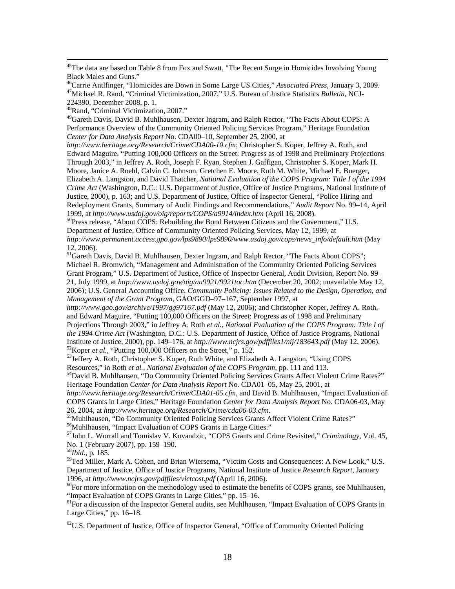<sup>45</sup>The data are based on Table 8 from Fox and Swatt, "The Recent Surge in Homicides Involving Young Black Males and Guns."

<sup>46</sup>Carrie Antlfinger, "Homicides are Down in Some Large US Cities," *Associated Press*, January 3, 2009.<br><sup>47</sup>Michael R. Rand, "Criminal Victimization, 2007," U.S. Bureau of Justice Statistics *Bulletin*, NCJ-224390, December 2008, p. 1.

48Rand, "Criminal Victimization, 2007."

<sup>49</sup>Gareth Davis, David B. Muhlhausen, Dexter Ingram, and Ralph Rector, "The Facts About COPS: A Performance Overview of the Community Oriented Policing Services Program," Heritage Foundation *Center for Data Analysis Report* No. CDA00–10, September 25, 2000, at

*http://www.heritage.org/Research/Crime/CDA00-10.cfm*; Christopher S. Koper, Jeffrey A. Roth, and Edward Maguire, "Putting 100,000 Officers on the Street: Progress as of 1998 and Preliminary Projections Through 2003," in Jeffrey A. Roth, Joseph F. Ryan, Stephen J. Gaffigan, Christopher S. Koper, Mark H. Moore, Janice A. Roehl, Calvin C. Johnson, Gretchen E. Moore, Ruth M. White, Michael E. Buerger, Elizabeth A. Langston, and David Thatcher, *National Evaluation of the COPS Program: Title I of the 1994 Crime Act* (Washington, D.C.: U.S. Department of Justice, Office of Justice Programs, National Institute of Justice, 2000), p. 163; and U.S. Department of Justice, Office of Inspector General, "Police Hiring and Redeployment Grants, Summary of Audit Findings and Recommendations," *Audit Report* No. 99–14, April

1999, at *http://www.usdoj.gov/oig/reports/COPS/a9914/index.htm* (April 16, 2008).<br><sup>50</sup>Press release, "About COPS: Rebuilding the Bond Between Citizens and the Government," U.S. Department of Justice, Office of Community Oriented Policing Services, May 12, 1999, at *http://www.permanent.access.gpo.gov/lps9890/lps9890/www.usdoj.gov/cops/news\_info/default.htm* (May 12, 2006).

<sup>51</sup>Gareth Davis, David B. Muhlhausen, Dexter Ingram, and Ralph Rector, "The Facts About COPS"; Michael R. Bromwich, "Management and Administration of the Community Oriented Policing Services Grant Program," U.S. Department of Justice, Office of Inspector General, Audit Division, Report No. 99– 21, July 1999, at *http://www.usdoj.gov/oig/au9921/9921toc.htm* (December 20, 2002; unavailable May 12, 2006); U.S. General Accounting Office, *Community Policing: Issues Related to the Design, Operation, and Management of the Grant Program*, GAO/GGD–97–167, September 1997, at

*http://www.gao.gov/archive/1997/gg97167.pdf* (May 12, 2006); and Christopher Koper, Jeffrey A. Roth, and Edward Maguire, "Putting 100,000 Officers on the Street: Progress as of 1998 and Preliminary Projections Through 2003," in Jeffrey A. Roth *et al.*, *National Evaluation of the COPS Program: Title I of the 1994 Crime Act* (Washington, D.C.: U.S. Department of Justice, Office of Justice Programs, National

Institute of Justice, 2000), pp. 149–176, at *http://www.ncjrs.gov/pdffiles1/nij/183643.pdf* (May 12, 2006).<br><sup>52</sup>Koper *et al.*, "Putting 100,000 Officers on the Street," p. 152.<br><sup>53</sup>Jeffery A. Roth, Christopher S. Koper,

Resources," in Roth *et al., National Evaluation of the COPS Program*, pp. 111 and 113.<br><sup>54</sup>David B. Muhlhausen, "Do Community Oriented Policing Services Grants Affect Violent Crime Rates?"

Heritage Foundation *Center for Data Analysis Report* No. CDA01–05, May 25, 2001, at

*http://www.heritage.org/Research/Crime/CDA01-05.cfm*, and David B. Muhlhausen, "Impact Evaluation of COPS Grants in Large Cities," Heritage Foundation *Center for Data Analysis Report* No. CDA06-03, May

26, 2004, at *http://www.heritage.org/Research/Crime/cda06-03.cfm*.<br><sup>55</sup>Muhlhausen, "Do Community Oriented Policing Services Grants Affect Violent Crime Rates?"

56Muhlhausen, "Impact Evaluation of COPS Grants in Large Cities."

57John L. Worrall and Tomislav V. Kovandzic, "COPS Grants and Crime Revisited," *Criminology*, Vol. 45, No. 1 (February 2007), pp. 159–190.

<sup>58</sup>*Ibid*., p. 185.

<sup>59</sup>Ted Miller, Mark A. Cohen, and Brian Wiersema, "Victim Costs and Consequences: A New Look," U.S. Department of Justice, Office of Justice Programs, National Institute of Justice *Research Report*, January 1996, at *http://www.ncjrs.gov/pdffiles/victcost.pdf* (April 16, 2006).<br><sup>60</sup>For more information on the methodology used to estimate the benefits of COPS grants, see Muhlhausen,

"Impact Evaluation of COPS Grants in Large Cities," pp. 15–16.

<sup>61</sup>For a discussion of the Inspector General audits, see Muhlhausen, "Impact Evaluation of COPS Grants in Large Cities," pp. 16–18.

 ${}^{62}$ U.S. Department of Justice, Office of Inspector General, "Office of Community Oriented Policing